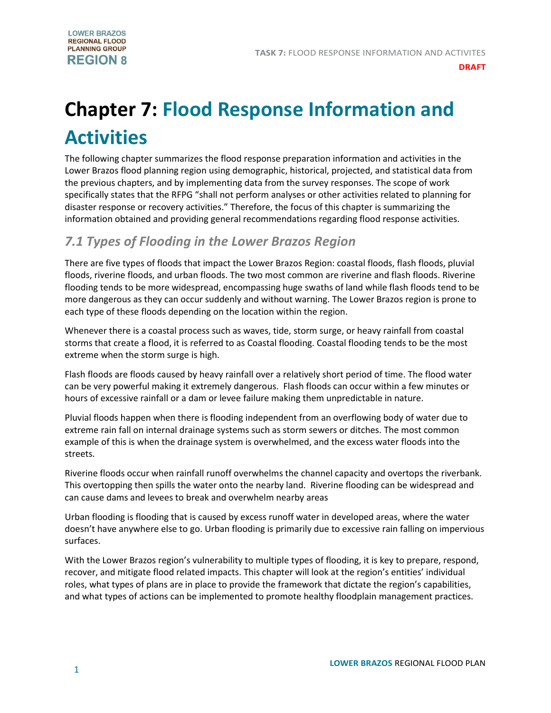# **Chapter 7: Flood Response Information and Activities**

The following chapter summarizes the flood response preparation information and activities in the Lower Brazos flood planning region using demographic, historical, projected, and statistical data from the previous chapters, and by implementing data from the survey responses. The scope of work specifically states that the RFPG "shall not perform analyses or other activities related to planning for disaster response or recovery activities." Therefore, the focus of this chapter is summarizing the information obtained and providing general recommendations regarding flood response activities.

# *7.1 Types of Flooding in the Lower Brazos Region*

There are five types of floods that impact the Lower Brazos Region: coastal floods, flash floods, pluvial floods, riverine floods, and urban floods. The two most common are riverine and flash floods. Riverine flooding tends to be more widespread, encompassing huge swaths of land while flash floods tend to be more dangerous as they can occur suddenly and without warning. The Lower Brazos region is prone to each type of these floods depending on the location within the region.

Whenever there is a coastal process such as waves, tide, storm surge, or heavy rainfall from coastal storms that create a flood, it is referred to as Coastal flooding. Coastal flooding tends to be the most extreme when the storm surge is high.

Flash floods are floods caused by heavy rainfall over a relatively short period of time. The flood water can be very powerful making it extremely dangerous. Flash floods can occur within a few minutes or hours of excessive rainfall or a dam or levee failure making them unpredictable in nature.

Pluvial floods happen when there is flooding independent from an overflowing body of water due to extreme rain fall on internal drainage systems such as storm sewers or ditches. The most common example of this is when the drainage system is overwhelmed, and the excess water floods into the streets.

Riverine floods occur when rainfall runoff overwhelms the channel capacity and overtops the riverbank. This overtopping then spills the water onto the nearby land. Riverine flooding can be widespread and can cause dams and levees to break and overwhelm nearby areas

Urban flooding is flooding that is caused by excess runoff water in developed areas, where the water doesn't have anywhere else to go. Urban flooding is primarily due to excessive rain falling on impervious surfaces.

With the Lower Brazos region's vulnerability to multiple types of flooding, it is key to prepare, respond, recover, and mitigate flood related impacts. This chapter will look at the region's entities' individual roles, what types of plans are in place to provide the framework that dictate the region's capabilities, and what types of actions can be implemented to promote healthy floodplain management practices.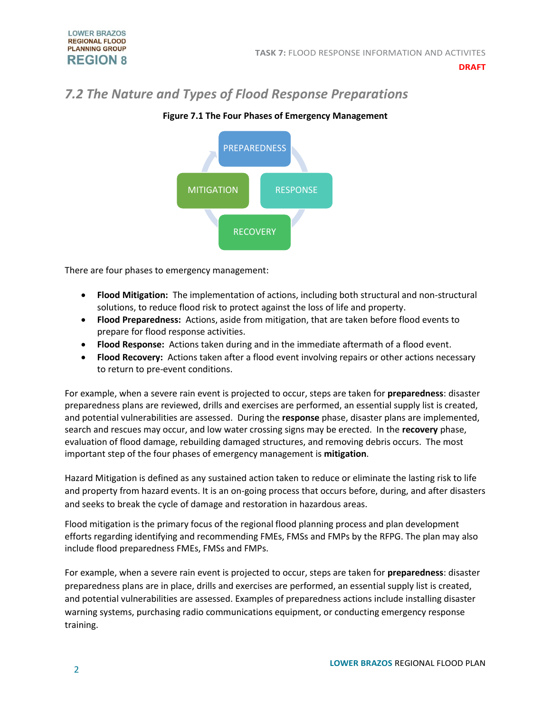# *7.2 The Nature and Types of Flood Response Preparations*



# **Figure 7.1 The Four Phases of Emergency Management**

There are four phases to emergency management:

- **Flood Mitigation:** The implementation of actions, including both structural and non-structural solutions, to reduce flood risk to protect against the loss of life and property.
- **Flood Preparedness:** Actions, aside from mitigation, that are taken before flood events to prepare for flood response activities.
- **Flood Response:** Actions taken during and in the immediate aftermath of a flood event.
- **Flood Recovery:** Actions taken after a flood event involving repairs or other actions necessary to return to pre-event conditions.

For example, when a severe rain event is projected to occur, steps are taken for **preparedness**: disaster preparedness plans are reviewed, drills and exercises are performed, an essential supply list is created, and potential vulnerabilities are assessed. During the **response** phase, disaster plans are implemented, search and rescues may occur, and low water crossing signs may be erected. In the **recovery** phase, evaluation of flood damage, rebuilding damaged structures, and removing debris occurs. The most important step of the four phases of emergency management is **mitigation**.

Hazard Mitigation is defined as any sustained action taken to reduce or eliminate the lasting risk to life and property from hazard events. It is an on-going process that occurs before, during, and after disasters and seeks to break the cycle of damage and restoration in hazardous areas.

Flood mitigation is the primary focus of the regional flood planning process and plan development efforts regarding identifying and recommending FMEs, FMSs and FMPs by the RFPG. The plan may also include flood preparedness FMEs, FMSs and FMPs.

For example, when a severe rain event is projected to occur, steps are taken for **preparedness**: disaster preparedness plans are in place, drills and exercises are performed, an essential supply list is created, and potential vulnerabilities are assessed. Examples of preparedness actions include installing disaster warning systems, purchasing radio communications equipment, or conducting emergency response training.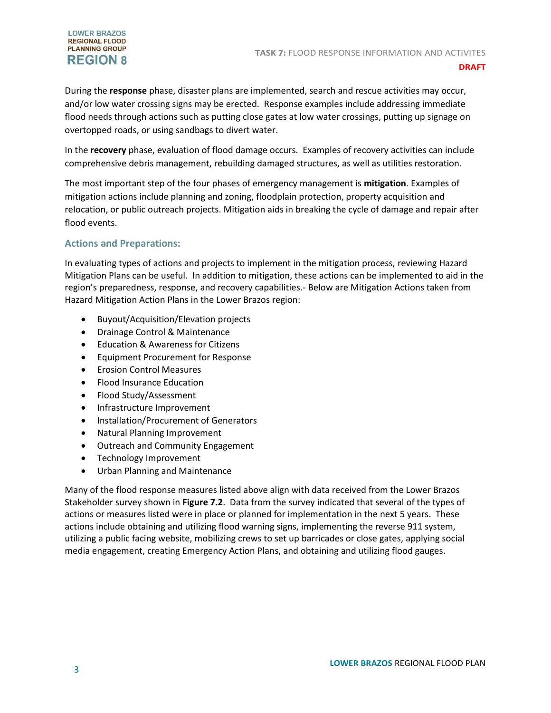#### **LOWER BRAZOS REGIONAL FLOOD PLANNING GROUP REGION 8**

During the **response** phase, disaster plans are implemented, search and rescue activities may occur, and/or low water crossing signs may be erected. Response examples include addressing immediate flood needs through actions such as putting close gates at low water crossings, putting up signage on overtopped roads, or using sandbags to divert water.

In the **recovery** phase, evaluation of flood damage occurs. Examples of recovery activities can include comprehensive debris management, rebuilding damaged structures, as well as utilities restoration.

The most important step of the four phases of emergency management is **mitigation**. Examples of mitigation actions include planning and zoning, floodplain protection, property acquisition and relocation, or public outreach projects. Mitigation aids in breaking the cycle of damage and repair after flood events.

# **Actions and Preparations:**

In evaluating types of actions and projects to implement in the mitigation process, reviewing Hazard Mitigation Plans can be useful. In addition to mitigation, these actions can be implemented to aid in the region's preparedness, response, and recovery capabilities.- Below are Mitigation Actions taken from Hazard Mitigation Action Plans in the Lower Brazos region:

- Buyout/Acquisition/Elevation projects
- Drainage Control & Maintenance
- Education & Awareness for Citizens
- Equipment Procurement for Response
- Erosion Control Measures
- Flood Insurance Education
- Flood Study/Assessment
- Infrastructure Improvement
- Installation/Procurement of Generators
- Natural Planning Improvement
- Outreach and Community Engagement
- Technology Improvement
- Urban Planning and Maintenance

Many of the flood response measures listed above align with data received from the Lower Brazos Stakeholder survey shown in **Figure 7.2**. Data from the survey indicated that several of the types of actions or measures listed were in place or planned for implementation in the next 5 years. These actions include obtaining and utilizing flood warning signs, implementing the reverse 911 system, utilizing a public facing website, mobilizing crews to set up barricades or close gates, applying social media engagement, creating Emergency Action Plans, and obtaining and utilizing flood gauges.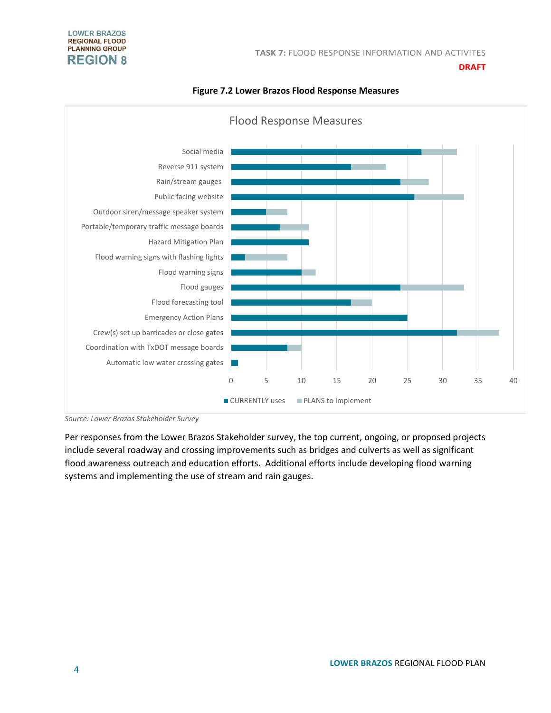

#### **Figure 7.2 Lower Brazos Flood Response Measures**

*Source: Lower Brazos Stakeholder Survey*

Per responses from the Lower Brazos Stakeholder survey, the top current, ongoing, or proposed projects include several roadway and crossing improvements such as bridges and culverts as well as significant flood awareness outreach and education efforts. Additional efforts include developing flood warning systems and implementing the use of stream and rain gauges.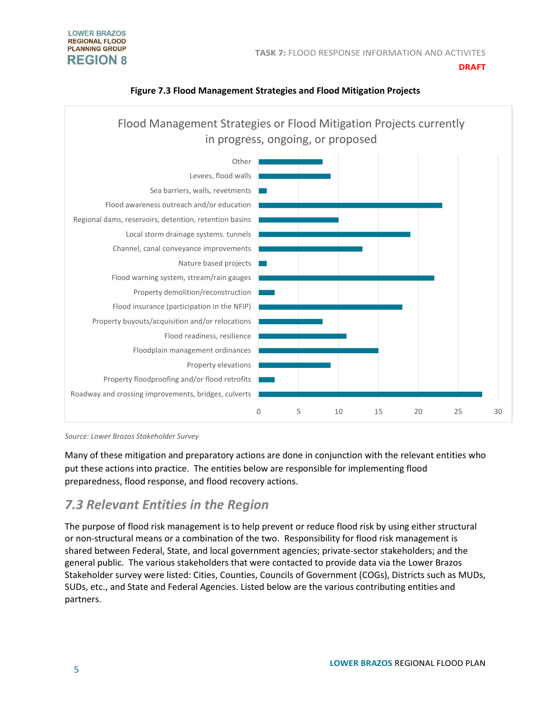#### **TASK 7:** FLOOD RESPONSE INFORMATION AND ACTIVITES

#### **LOWER BRAZOS REGIONAL FLOOD PLANNING GROUP REGION 8**

#### **DRAFT**



### **Figure 7.3 Flood Management Strategies and Flood Mitigation Projects**

*Source: Lower Brazos Stakeholder Survey* 

Many of these mitigation and preparatory actions are done in conjunction with the relevant entities who put these actions into practice. The entities below are responsible for implementing flood preparedness, flood response, and flood recovery actions.

# *7.3 Relevant Entities in the Region*

The purpose of flood risk management is to help prevent or reduce flood risk by using either structural or non-structural means or a combination of the two. Responsibility for flood risk management is shared between Federal, State, and local government agencies; private-sector stakeholders; and the general public. The various stakeholders that were contacted to provide data via the Lower Brazos Stakeholder survey were listed: Cities, Counties, Councils of Government (COGs), Districts such as MUDs, SUDs, etc., and State and Federal Agencies. Listed below are the various contributing entities and partners.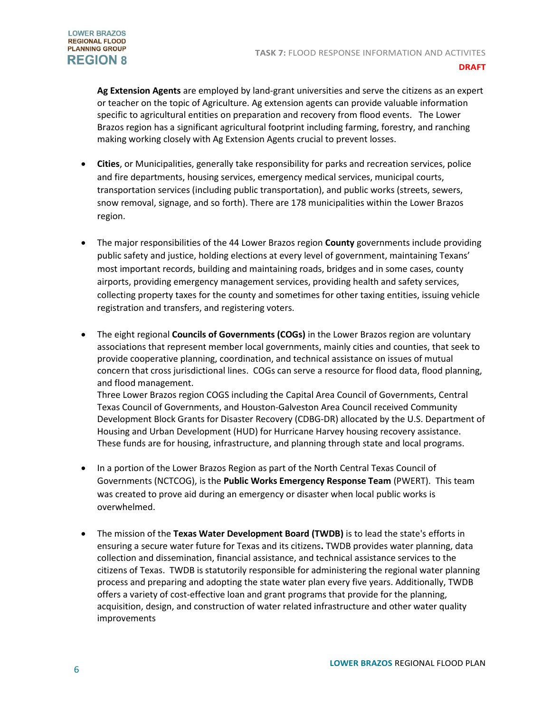

**Ag Extension Agents** are employed by land-grant universities and serve the citizens as an expert or teacher on the topic of Agriculture. Ag extension agents can provide valuable information specific to agricultural entities on preparation and recovery from flood events. The Lower Brazos region has a significant agricultural footprint including farming, forestry, and ranching making working closely with Ag Extension Agents crucial to prevent losses.

- **Cities**, or Municipalities, generally take responsibility for parks and recreation services, police and fire departments, housing services, emergency medical services, municipal courts, transportation services (including public transportation), and public works (streets, sewers, snow removal, signage, and so forth). There are 178 municipalities within the Lower Brazos region.
- The major responsibilities of the 44 Lower Brazos region **County** governments include providing public safety and justice, holding elections at every level of government, maintaining Texans' most important records, building and maintaining roads, bridges and in some cases, county airports, providing emergency management services, providing health and safety services, collecting property taxes for the county and sometimes for other taxing entities, issuing vehicle registration and transfers, and registering voters.
- The eight regional **Councils of Governments (COGs)** in the Lower Brazos region are voluntary associations that represent member local governments, mainly cities and counties, that seek to provide cooperative planning, coordination, and technical assistance on issues of mutual concern that cross jurisdictional lines. COGs can serve a resource for flood data, flood planning, and flood management. Three Lower Brazos region COGS including the Capital Area Council of Governments, Central Texas Council of Governments, and Houston-Galveston Area Council received Community Development Block Grants for Disaster Recovery (CDBG-DR) allocated by the U.S. Department of Housing and Urban Development (HUD) for Hurricane Harvey housing recovery assistance.
	- These funds are for housing, infrastructure, and planning through state and local programs.
- In a portion of the Lower Brazos Region as part of the North Central Texas Council of Governments (NCTCOG), is the **Public Works Emergency Response Team** (PWERT). This team was created to prove aid during an emergency or disaster when local public works is overwhelmed.
- The mission of the **Texas Water Development Board (TWDB)** is to lead the state's efforts in ensuring a secure water future for Texas and its citizens**.** TWDB provides water planning, data collection and dissemination, financial assistance, and technical assistance services to the citizens of Texas. TWDB is statutorily responsible for administering the regional water planning process and preparing and adopting the state water plan every five years. Additionally, TWDB offers a variety of cost-effective loan and grant programs that provide for the planning, acquisition, design, and construction of water related infrastructure and other water quality improvements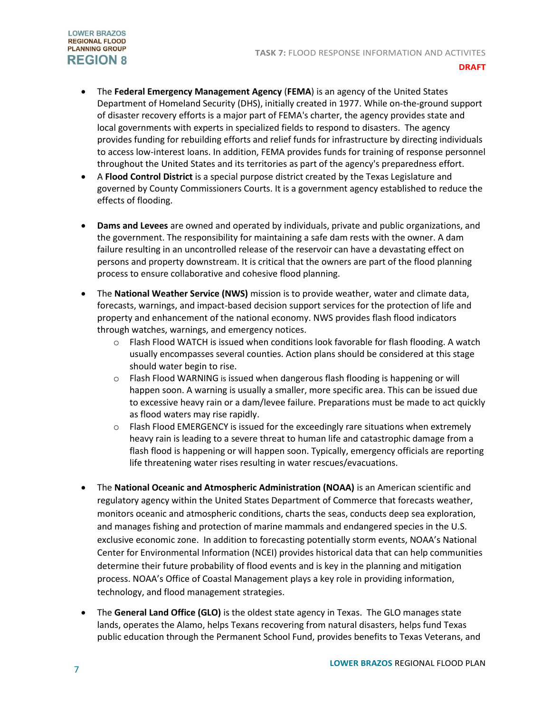

- The **Federal Emergency Management Agency** (**FEMA**) is an agency of th[e United States](https://en.wikipedia.org/wiki/United_States_Department_of_Homeland_Security)  [Department of Homeland Security](https://en.wikipedia.org/wiki/United_States_Department_of_Homeland_Security) (DHS), initially created in 1977. While on-the-ground support of disaster recovery efforts is a major part of FEMA's charter, the agency provides state and local governments with experts in specialized fields to respond to disasters. The agency provides funding for rebuilding efforts and relief funds for infrastructure by directing individuals to access low-interest loans. In addition, FEMA provides funds for training of response personnel throughout the United States and its territories as part of the agency's preparedness effort.
- A **Flood Control District** is a special purpose district created by the Texas Legislature and governed by County Commissioners Courts. It is a government agency established to reduce the effects of flooding.
- **Dams and Levees** are owned and operated by individuals, private and public organizations, and the government. The responsibility for maintaining a safe dam rests with the owner. A dam failure resulting in an uncontrolled release of the reservoir can have a devastating effect on persons and property downstream. It is critical that the owners are part of the flood planning process to ensure collaborative and cohesive flood planning.
- The **National Weather Service (NWS)** mission is to provide weather, water and climate data, forecasts, warnings, and impact-based decision support services for the protection of life and property and enhancement of the national economy. NWS provides flash flood indicators through watches, warnings, and emergency notices.
	- $\circ$  Flash Flood WATCH is issued when conditions look favorable for flash flooding. A watch usually encompasses several counties. Action plans should be considered at this stage should water begin to rise.
	- $\circ$  Flash Flood WARNING is issued when dangerous flash flooding is happening or will happen soon. A warning is usually a smaller, more specific area. This can be issued due to excessive heavy rain or a dam/levee failure. Preparations must be made to act quickly as flood waters may rise rapidly.
	- $\circ$  Flash Flood EMERGENCY is issued for the exceedingly rare situations when extremely heavy rain is leading to a severe threat to human life and catastrophic damage from a flash flood is happening or will happen soon. Typically, emergency officials are reporting life threatening water rises resulting in water rescues/evacuations.
- The **National Oceanic and Atmospheric Administration (NOAA)** is an American scientific and regulatory agency within th[e United States Department of Commerce](https://en.wikipedia.org/wiki/United_States_Department_of_Commerce) that forecasts weather, monitors oceanic and atmospheric conditions, charts the seas, conducts deep sea exploration, and manages fishing and protection of marine mammals and endangered species in the U.S. [exclusive economic zone.](https://en.wikipedia.org/wiki/Exclusive_economic_zone) In addition to forecasting potentially storm events, NOAA's National Center for Environmental Information (NCEI) provides historical data that can help communities determine their future probability of flood events and is key in the planning and mitigation process. NOAA's Office of Coastal Management plays a key role in providing information, technology, and flood management strategies.
- The **General Land Office (GLO)** is the oldest state agency in Texas. The GLO manages state lands, operates the Alamo, helps Texans recovering from natural disasters, helps fund Texas public education through the Permanent School Fund, provides benefits to Texas Veterans, and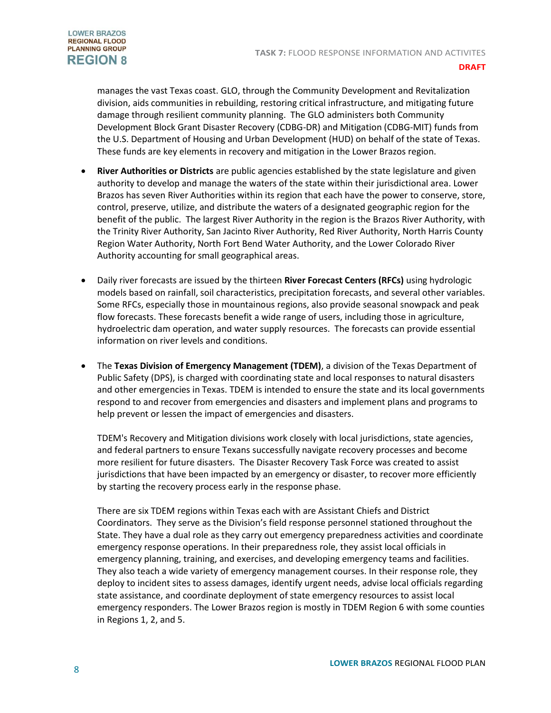

manages the vast Texas coast. GLO, through the Community Development and Revitalization division, aids communities in rebuilding, restoring critical infrastructure, and mitigating future damage through resilient community planning. The GLO administers both Community Development Block Grant Disaster Recovery (CDBG-DR) and Mitigation (CDBG-MIT) funds from the U.S. Department of Housing and Urban Development (HUD) on behalf of the state of Texas. These funds are key elements in recovery and mitigation in the Lower Brazos region.

- **River Authorities or Districts** are public agencies established by th[e state legislature](https://en.wikipedia.org/wiki/Texas_state_legislature) and given authority to develop and manage the [waters](https://en.wikipedia.org/wiki/Water) of the state within their jurisdictional area. Lower Brazos has seven River Authorities within its region that each have the power to conserve, store, control, preserve, utilize, and distribute the waters of a designated geographic region for the benefit of the public. The largest River Authority in the region is the Brazos River Authority, with the Trinity River Authority, San Jacinto River Authority, Red River Authority, North Harris County Region Water Authority, North Fort Bend Water Authority, and the Lower Colorado River Authority accounting for small geographical areas.
- Daily river forecasts are issued by the thirteen **River Forecast Centers (RFCs)** using hydrologic models based on rainfall, soil characteristics, precipitation forecasts, and several other variables. Some RFCs, especially those in mountainous regions, also provide seasonal snowpack and peak flow forecasts. These forecasts benefit a wide range of users, including those i[n agriculture,](https://en.wikipedia.org/wiki/Agriculture) [hydroelectric dam](https://en.wikipedia.org/wiki/Hydroelectricity) operation, and [water supply](https://en.wikipedia.org/wiki/Water_resources) resources. The forecasts can provide essential information on river levels and conditions.
- The **Texas Division of Emergency Management (TDEM)**, a division of the Texas Department of Public Safety (DPS), is charged with coordinating state and local responses to natural disasters and other emergencies in Texas. TDEM is intended to ensure the state and its local governments respond to and recover from emergencies and disasters and implement plans and programs to help prevent or lessen the impact of emergencies and disasters.

TDEM's Recovery and Mitigation divisions work closely with local jurisdictions, state agencies, and federal partners to ensure Texans successfully navigate recovery processes and become more resilient for future disasters. The Disaster Recovery Task Force was created to assist jurisdictions that have been impacted by an emergency or disaster, to recover more efficiently by starting the recovery process early in the response phase.

There are six TDEM regions within Texas each with are Assistant Chiefs and District Coordinators. They serve as the Division's field response personnel stationed throughout the State. They have a dual role as they carry out emergency preparedness activities and coordinate emergency response operations. In their preparedness role, they assist local officials in emergency planning, training, and exercises, and developing emergency teams and facilities. They also teach a wide variety of emergency management courses. In their response role, they deploy to incident sites to assess damages, identify urgent needs, advise local officials regarding state assistance, and coordinate deployment of state emergency resources to assist local emergency responders. The Lower Brazos region is mostly in TDEM Region 6 with some counties in Regions 1, 2, and 5.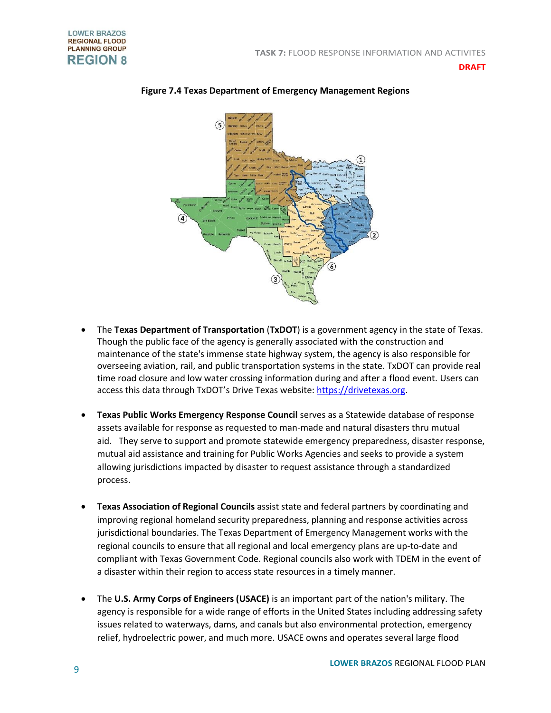

**Figure 7.4 Texas Department of Emergency Management Regions**

- The **Texas Department of Transportation** (**TxDOT**) is a [government agency](https://en.wikipedia.org/wiki/Government_agency) in the state of [Texas.](https://en.wikipedia.org/wiki/Texas) Though the public face of the agency is generally associated with the construction and maintenance of the state's immense [state highway](https://en.wikipedia.org/wiki/State_highway) system, the agency is also responsible for overseeing [aviation,](https://en.wikipedia.org/wiki/Aviation) [rail,](https://en.wikipedia.org/wiki/Rail_transport) and [public transportation](https://en.wikipedia.org/wiki/Public_transport) systems in the state. TxDOT can provide real time road closure and low water crossing information during and after a flood event. Users can access this data through TxDOT's Drive Texas website: [https://drivetexas.org.](https://drivetexas.org/)
- **Texas Public Works Emergency Response Council** serves as a Statewide database of response assets available for response as requested to man-made and natural disasters thru mutual aid. They serve to support and promote statewide emergency preparedness, disaster response, mutual aid assistance and training for Public Works Agencies and seeks to provide a system allowing jurisdictions impacted by disaster to request assistance through a standardized process.
- **Texas Association of Regional Councils** assist state and federal partners by coordinating and improving regional homeland security preparedness, planning and response activities across jurisdictional boundaries. The Texas Department of Emergency Management works with the regional councils to ensure that all regional and local emergency plans are up-to-date and compliant with Texas Government Code. Regional councils also work with TDEM in the event of a disaster within their region to access state resources in a timely manner.
- The **U.S. Army Corps of Engineers (USACE)** is an important part of the nation's military. The agency is responsible for a wide range of efforts in the United States including addressing safety issues related to waterways, dams, and canals but also environmental protection, emergency relief, hydroelectric power, and much more. USACE owns and operates several large flood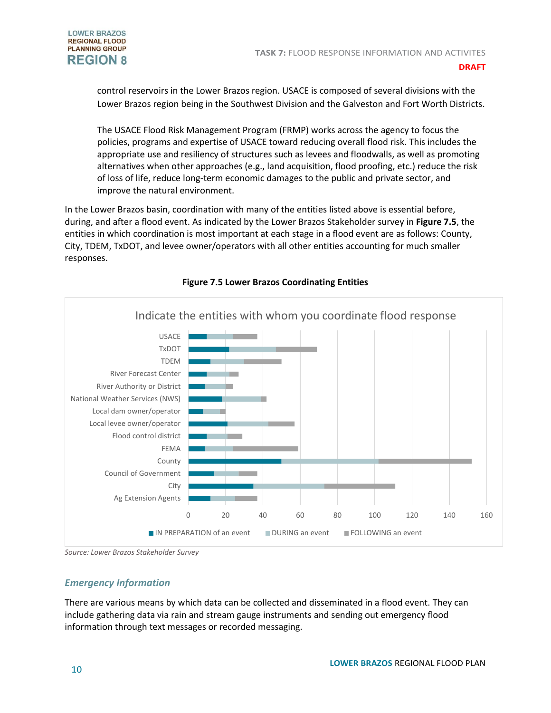

control reservoirs in the Lower Brazos region. USACE is composed of several divisions with the Lower Brazos region being in the Southwest Division and the Galveston and Fort Worth Districts.

The USACE Flood Risk Management Program (FRMP) works across the agency to focus the policies, programs and expertise of USACE toward reducing overall flood risk. This includes the appropriate use and resiliency of structures such as levees and floodwalls, as well as promoting alternatives when other approaches (e.g., land acquisition, flood proofing, etc.) reduce the risk of loss of life, reduce long-term economic damages to the public and private sector, and improve the natural environment.

In the Lower Brazos basin, coordination with many of the entities listed above is essential before, during, and after a flood event. As indicated by the Lower Brazos Stakeholder survey in **Figure 7.5**, the entities in which coordination is most important at each stage in a flood event are as follows: County, City, TDEM, TxDOT, and levee owner/operators with all other entities accounting for much smaller responses.



## **Figure 7.5 Lower Brazos Coordinating Entities**

*Source: Lower Brazos Stakeholder Survey* 

# *Emergency Information*

There are various means by which data can be collected and disseminated in a flood event. They can include gathering data via rain and stream gauge instruments and sending out emergency flood information through text messages or recorded messaging.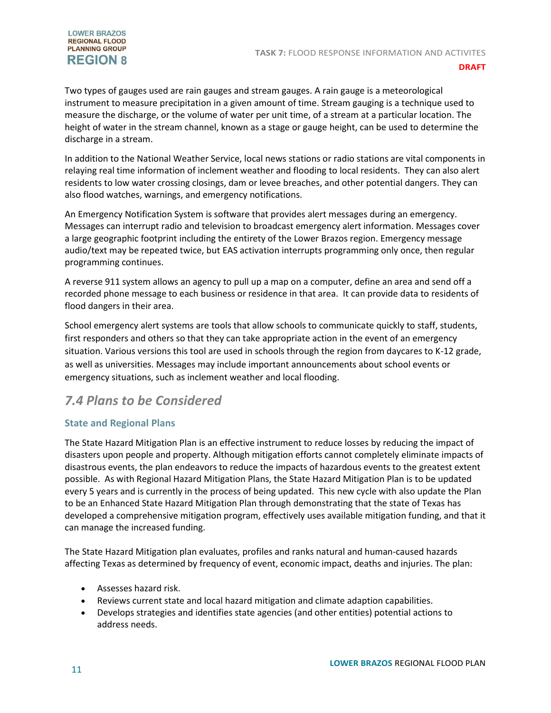#### **LOWER BRAZOS REGIONAL FLOOD PLANNING GROUP REGION 8**

Two types of gauges used are rain gauges and stream gauges. A rain gauge is a meteorological instrument to measure precipitation in a given amount of time. Stream gauging is a technique used to measure the discharge, or the volume of water per unit time, of a stream at a particular location. The height of water in the stream channel, known as a stage or gauge height, can be used to determine the discharge in a stream.

In addition to the National Weather Service, local news stations or radio stations are vital components in relaying real time information of inclement weather and flooding to local residents. They can also alert residents to low water crossing closings, dam or levee breaches, and other potential dangers. They can also flood watches, warnings, and emergency notifications.

An Emergency Notification System is software that provides alert messages during an emergency. Messages can interrupt radio and television to broadcast emergency alert information. Messages cover a large geographic footprint including the entirety of the Lower Brazos region. Emergency message audio/text may be repeated twice, but EAS activation interrupts programming only once, then regular programming continues.

A reverse 911 system allows an agency to pull up a map on a computer, define an area and send off a recorded phone message to each business or residence in that area. It can provide data to residents of flood dangers in their area.

School emergency alert systems are tools that allow schools to communicate quickly to staff, students, first responders and others so that they can take appropriate action in the event of an emergency situation. Various versions this tool are used in schools through the region from daycares to K-12 grade, as well as universities. Messages may include important announcements about school events or emergency situations, such as inclement weather and local flooding.

# *7.4 Plans to be Considered*

# **State and Regional Plans**

The State Hazard Mitigation Plan is an effective instrument to reduce losses by reducing the impact of disasters upon people and property. Although mitigation efforts cannot completely eliminate impacts of disastrous events, the plan endeavors to reduce the impacts of hazardous events to the greatest extent possible. As with Regional Hazard Mitigation Plans, the State Hazard Mitigation Plan is to be updated every 5 years and is currently in the process of being updated. This new cycle with also update the Plan to be an Enhanced State Hazard Mitigation Plan through demonstrating that the state of Texas has developed a comprehensive mitigation program, effectively uses available mitigation funding, and that it can manage the increased funding.

The State Hazard Mitigation plan evaluates, profiles and ranks natural and human-caused hazards affecting Texas as determined by frequency of event, economic impact, deaths and injuries. The plan:

- Assesses hazard risk.
- Reviews current state and local hazard mitigation and climate adaption capabilities.
- Develops strategies and identifies state agencies (and other entities) potential actions to address needs.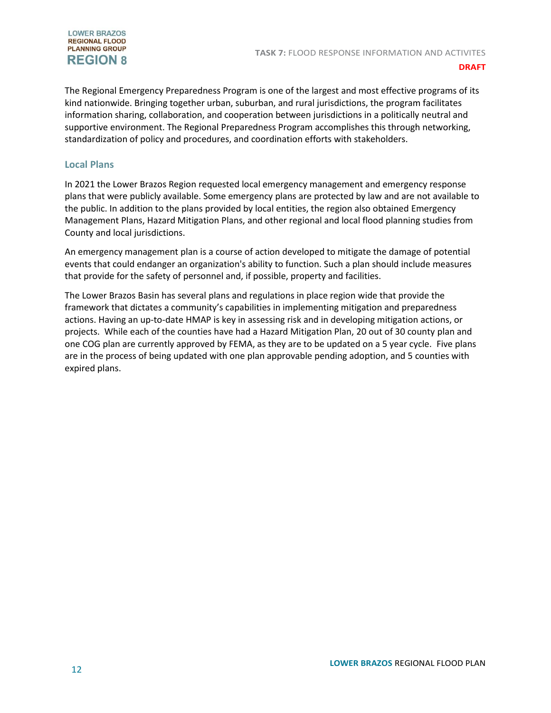#### **LOWER BRAZOS REGIONAL FLOOD PLANNING GROUP REGION 8**

#### **DRAFT**

The Regional Emergency Preparedness Program is one of the largest and most effective programs of its kind nationwide. Bringing together urban, suburban, and rural jurisdictions, the program facilitates information sharing, collaboration, and cooperation between jurisdictions in a politically neutral and supportive environment. The Regional Preparedness Program accomplishes this through networking, standardization of policy and procedures, and coordination efforts with stakeholders.

### **Local Plans**

In 2021 the Lower Brazos Region requested local emergency management and emergency response plans that were publicly available. Some emergency plans are protected by law and are not available to the public. In addition to the plans provided by local entities, the region also obtained Emergency Management Plans, Hazard Mitigation Plans, and other regional and local flood planning studies from County and local jurisdictions.

An emergency management plan is a course of action developed to mitigate the damage of potential events that could endanger an organization's ability to function. Such a plan should include measures that provide for the safety of personnel and, if possible, property and facilities.

The Lower Brazos Basin has several plans and regulations in place region wide that provide the framework that dictates a community's capabilities in implementing mitigation and preparedness actions. Having an up-to-date HMAP is key in assessing risk and in developing mitigation actions, or projects. While each of the counties have had a Hazard Mitigation Plan, 20 out of 30 county plan and one COG plan are currently approved by FEMA, as they are to be updated on a 5 year cycle. Five plans are in the process of being updated with one plan approvable pending adoption, and 5 counties with expired plans.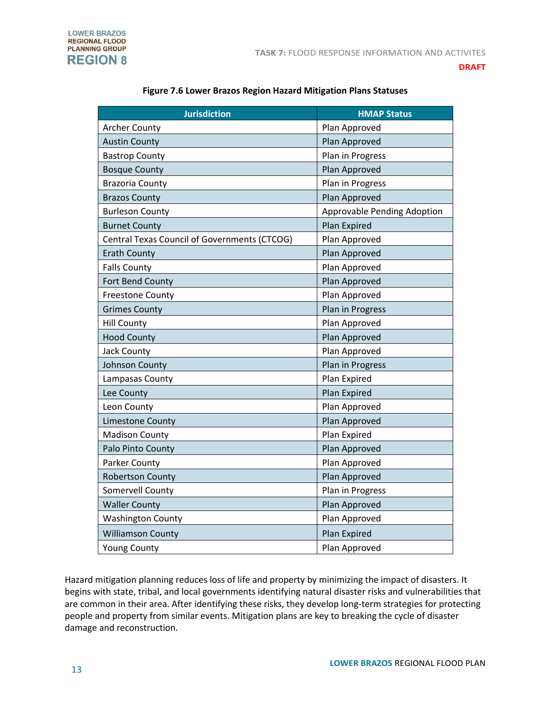

| <b>Jurisdiction</b>                          | <b>HMAP Status</b>                 |
|----------------------------------------------|------------------------------------|
| <b>Archer County</b>                         | Plan Approved                      |
| <b>Austin County</b>                         | Plan Approved                      |
| <b>Bastrop County</b>                        | Plan in Progress                   |
| <b>Bosque County</b>                         | Plan Approved                      |
| <b>Brazoria County</b>                       | Plan in Progress                   |
| <b>Brazos County</b>                         | Plan Approved                      |
| <b>Burleson County</b>                       | <b>Approvable Pending Adoption</b> |
| <b>Burnet County</b>                         | Plan Expired                       |
| Central Texas Council of Governments (CTCOG) | Plan Approved                      |
| <b>Erath County</b>                          | Plan Approved                      |
| <b>Falls County</b>                          | Plan Approved                      |
| Fort Bend County                             | Plan Approved                      |
| <b>Freestone County</b>                      | Plan Approved                      |
| <b>Grimes County</b>                         | Plan in Progress                   |
| <b>Hill County</b>                           | Plan Approved                      |
| <b>Hood County</b>                           | Plan Approved                      |
| Jack County                                  | Plan Approved                      |
| <b>Johnson County</b>                        | Plan in Progress                   |
| Lampasas County                              | Plan Expired                       |
| Lee County                                   | Plan Expired                       |
| Leon County                                  | Plan Approved                      |
| Limestone County                             | Plan Approved                      |
| <b>Madison County</b>                        | Plan Expired                       |
| Palo Pinto County                            | Plan Approved                      |
| Parker County                                | Plan Approved                      |
| <b>Robertson County</b>                      | Plan Approved                      |
| Somervell County                             | Plan in Progress                   |
| <b>Waller County</b>                         | Plan Approved                      |
| <b>Washington County</b>                     | Plan Approved                      |
| <b>Williamson County</b>                     | Plan Expired                       |
| <b>Young County</b>                          | Plan Approved                      |

## **Figure 7.6 Lower Brazos Region Hazard Mitigation Plans Statuses**

Hazard mitigation planning reduces loss of life and property by minimizing the impact of disasters. It begins with state, tribal, and local governments identifying natural disaster risks and vulnerabilities that are common in their area. After identifying these risks, they develop long-term strategies for protecting people and property from similar events. Mitigation plans are key to breaking the cycle of disaster damage and reconstruction.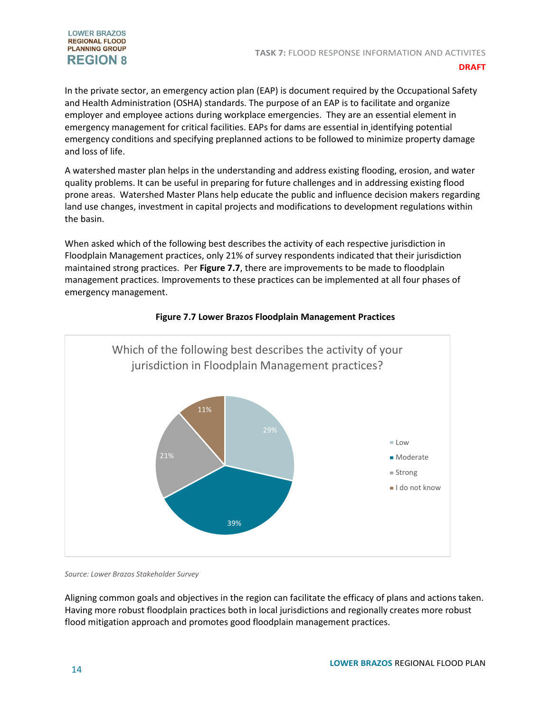

In the private sector, an emergency action plan (EAP) is document required by the Occupational Safety and Health Administration (OSHA) standards. The purpose of an EAP is to facilitate and organize employer and employee actions during workplace emergencies. They are an essential element in emergency management for critical facilities. EAPs for dams are essential in identifying potential emergency conditions and specifying preplanned actions to be followed to minimize property damage and loss of life.

A watershed master plan helps in the understanding and address existing flooding, erosion, and water quality problems. It can be useful in preparing for future challenges and in addressing existing flood prone areas. Watershed Master Plans help educate the public and influence decision makers regarding land use changes, investment in capital projects and modifications to development regulations within the basin.

When asked which of the following best describes the activity of each respective jurisdiction in Floodplain Management practices, only 21% of survey respondents indicated that their jurisdiction maintained strong practices. Per **Figure 7.7**, there are improvements to be made to floodplain management practices. Improvements to these practices can be implemented at all four phases of emergency management.



### **Figure 7.7 Lower Brazos Floodplain Management Practices**

*Source: Lower Brazos Stakeholder Survey*

Aligning common goals and objectives in the region can facilitate the efficacy of plans and actions taken. Having more robust floodplain practices both in local jurisdictions and regionally creates more robust flood mitigation approach and promotes good floodplain management practices.